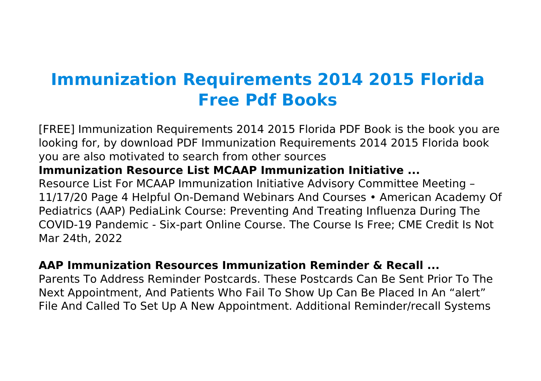# **Immunization Requirements 2014 2015 Florida Free Pdf Books**

[FREE] Immunization Requirements 2014 2015 Florida PDF Book is the book you are looking for, by download PDF Immunization Requirements 2014 2015 Florida book you are also motivated to search from other sources **Immunization Resource List MCAAP Immunization Initiative ...** Resource List For MCAAP Immunization Initiative Advisory Committee Meeting – 11/17/20 Page 4 Helpful On-Demand Webinars And Courses • American Academy Of Pediatrics (AAP) PediaLink Course: Preventing And Treating Influenza During The COVID-19 Pandemic - Six-part Online Course. The Course Is Free; CME Credit Is Not Mar 24th, 2022

#### **AAP Immunization Resources Immunization Reminder & Recall ...**

Parents To Address Reminder Postcards. These Postcards Can Be Sent Prior To The Next Appointment, And Patients Who Fail To Show Up Can Be Placed In An "alert" File And Called To Set Up A New Appointment. Additional Reminder/recall Systems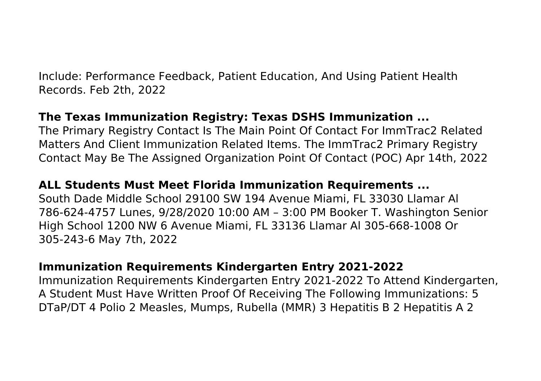Include: Performance Feedback, Patient Education, And Using Patient Health Records. Feb 2th, 2022

## **The Texas Immunization Registry: Texas DSHS Immunization ...**

The Primary Registry Contact Is The Main Point Of Contact For ImmTrac2 Related Matters And Client Immunization Related Items. The ImmTrac2 Primary Registry Contact May Be The Assigned Organization Point Of Contact (POC) Apr 14th, 2022

## **ALL Students Must Meet Florida Immunization Requirements ...**

South Dade Middle School 29100 SW 194 Avenue Miami, FL 33030 Llamar Al 786-624-4757 Lunes, 9/28/2020 10:00 AM – 3:00 PM Booker T. Washington Senior High School 1200 NW 6 Avenue Miami, FL 33136 Llamar Al 305-668-1008 Or 305-243-6 May 7th, 2022

#### **Immunization Requirements Kindergarten Entry 2021-2022**

Immunization Requirements Kindergarten Entry 2021-2022 To Attend Kindergarten, A Student Must Have Written Proof Of Receiving The Following Immunizations: 5 DTaP/DT 4 Polio 2 Measles, Mumps, Rubella (MMR) 3 Hepatitis B 2 Hepatitis A 2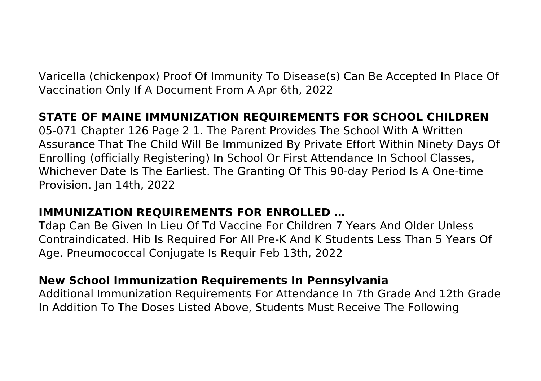Varicella (chickenpox) Proof Of Immunity To Disease(s) Can Be Accepted In Place Of Vaccination Only If A Document From A Apr 6th, 2022

# **STATE OF MAINE IMMUNIZATION REQUIREMENTS FOR SCHOOL CHILDREN**

05-071 Chapter 126 Page 2 1. The Parent Provides The School With A Written Assurance That The Child Will Be Immunized By Private Effort Within Ninety Days Of Enrolling (officially Registering) In School Or First Attendance In School Classes, Whichever Date Is The Earliest. The Granting Of This 90-day Period Is A One-time Provision. Jan 14th, 2022

#### **IMMUNIZATION REQUIREMENTS FOR ENROLLED …**

Tdap Can Be Given In Lieu Of Td Vaccine For Children 7 Years And Older Unless Contraindicated. Hib Is Required For All Pre-K And K Students Less Than 5 Years Of Age. Pneumococcal Conjugate Is Requir Feb 13th, 2022

#### **New School Immunization Requirements In Pennsylvania**

Additional Immunization Requirements For Attendance In 7th Grade And 12th Grade In Addition To The Doses Listed Above, Students Must Receive The Following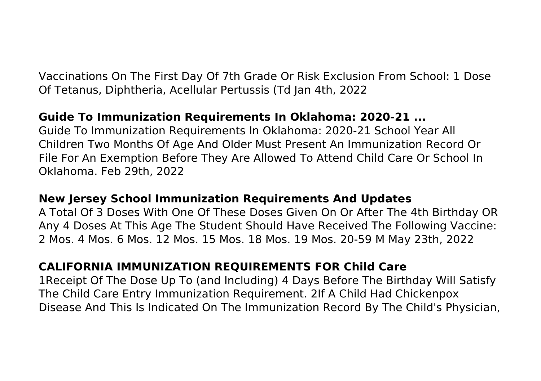Vaccinations On The First Day Of 7th Grade Or Risk Exclusion From School: 1 Dose Of Tetanus, Diphtheria, Acellular Pertussis (Td Jan 4th, 2022

## **Guide To Immunization Requirements In Oklahoma: 2020-21 ...**

Guide To Immunization Requirements In Oklahoma: 2020-21 School Year All Children Two Months Of Age And Older Must Present An Immunization Record Or File For An Exemption Before They Are Allowed To Attend Child Care Or School In Oklahoma. Feb 29th, 2022

## **New Jersey School Immunization Requirements And Updates**

A Total Of 3 Doses With One Of These Doses Given On Or After The 4th Birthday OR Any 4 Doses At This Age The Student Should Have Received The Following Vaccine: 2 Mos. 4 Mos. 6 Mos. 12 Mos. 15 Mos. 18 Mos. 19 Mos. 20-59 M May 23th, 2022

## **CALIFORNIA IMMUNIZATION REQUIREMENTS FOR Child Care**

1Receipt Of The Dose Up To (and Including) 4 Days Before The Birthday Will Satisfy The Child Care Entry Immunization Requirement. 2If A Child Had Chickenpox Disease And This Is Indicated On The Immunization Record By The Child's Physician,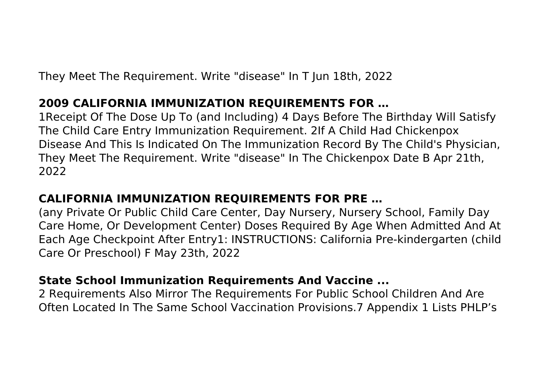They Meet The Requirement. Write "disease" In T Jun 18th, 2022

## **2009 CALIFORNIA IMMUNIZATION REQUIREMENTS FOR …**

1Receipt Of The Dose Up To (and Including) 4 Days Before The Birthday Will Satisfy The Child Care Entry Immunization Requirement. 2If A Child Had Chickenpox Disease And This Is Indicated On The Immunization Record By The Child's Physician, They Meet The Requirement. Write "disease" In The Chickenpox Date B Apr 21th, 2022

# **CALIFORNIA IMMUNIZATION REQUIREMENTS FOR PRE …**

(any Private Or Public Child Care Center, Day Nursery, Nursery School, Family Day Care Home, Or Development Center) Doses Required By Age When Admitted And At Each Age Checkpoint After Entry1: INSTRUCTIONS: California Pre-kindergarten (child Care Or Preschool) F May 23th, 2022

## **State School Immunization Requirements And Vaccine ...**

2 Requirements Also Mirror The Requirements For Public School Children And Are Often Located In The Same School Vaccination Provisions.7 Appendix 1 Lists PHLP's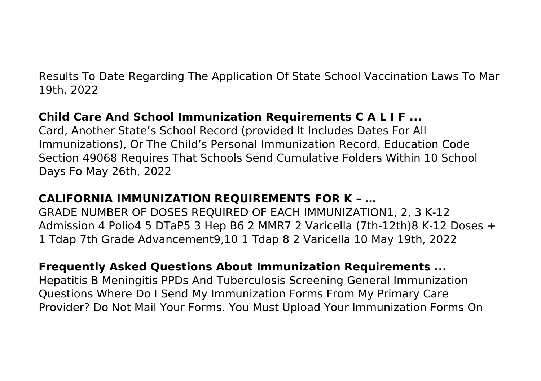Results To Date Regarding The Application Of State School Vaccination Laws To Mar 19th, 2022

# **Child Care And School Immunization Requirements C A L I F ...**

Card, Another State's School Record (provided It Includes Dates For All Immunizations), Or The Child's Personal Immunization Record. Education Code Section 49068 Requires That Schools Send Cumulative Folders Within 10 School Days Fo May 26th, 2022

# **CALIFORNIA IMMUNIZATION REQUIREMENTS FOR K – …**

GRADE NUMBER OF DOSES REQUIRED OF EACH IMMUNIZATION1, 2, 3 K-12 Admission 4 Polio4 5 DTaP5 3 Hep B6 2 MMR7 2 Varicella (7th-12th)8 K-12 Doses + 1 Tdap 7th Grade Advancement9,10 1 Tdap 8 2 Varicella 10 May 19th, 2022

## **Frequently Asked Questions About Immunization Requirements ...**

Hepatitis B Meningitis PPDs And Tuberculosis Screening General Immunization Questions Where Do I Send My Immunization Forms From My Primary Care Provider? Do Not Mail Your Forms. You Must Upload Your Immunization Forms On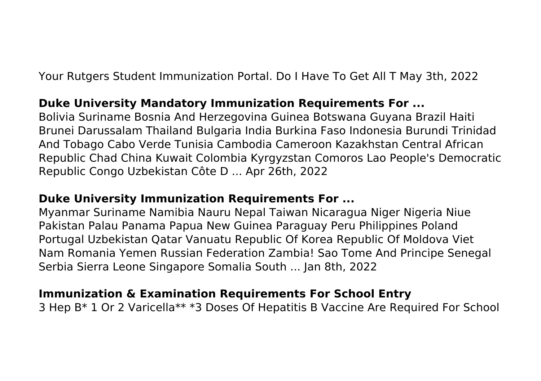Your Rutgers Student Immunization Portal. Do I Have To Get All T May 3th, 2022

#### **Duke University Mandatory Immunization Requirements For ...**

Bolivia Suriname Bosnia And Herzegovina Guinea Botswana Guyana Brazil Haiti Brunei Darussalam Thailand Bulgaria India Burkina Faso Indonesia Burundi Trinidad And Tobago Cabo Verde Tunisia Cambodia Cameroon Kazakhstan Central African Republic Chad China Kuwait Colombia Kyrgyzstan Comoros Lao People's Democratic Republic Congo Uzbekistan Côte D ... Apr 26th, 2022

#### **Duke University Immunization Requirements For ...**

Myanmar Suriname Namibia Nauru Nepal Taiwan Nicaragua Niger Nigeria Niue Pakistan Palau Panama Papua New Guinea Paraguay Peru Philippines Poland Portugal Uzbekistan Qatar Vanuatu Republic Of Korea Republic Of Moldova Viet Nam Romania Yemen Russian Federation Zambia! Sao Tome And Principe Senegal Serbia Sierra Leone Singapore Somalia South ... Jan 8th, 2022

#### **Immunization & Examination Requirements For School Entry**

3 Hep B\* 1 Or 2 Varicella\*\* \*3 Doses Of Hepatitis B Vaccine Are Required For School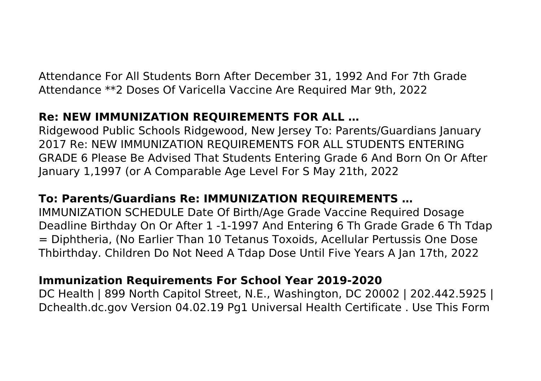Attendance For All Students Born After December 31, 1992 And For 7th Grade Attendance \*\*2 Doses Of Varicella Vaccine Are Required Mar 9th, 2022

# **Re: NEW IMMUNIZATION REQUIREMENTS FOR ALL …**

Ridgewood Public Schools Ridgewood, New Jersey To: Parents/Guardians January 2017 Re: NEW IMMUNIZATION REQUIREMENTS FOR ALL STUDENTS ENTERING GRADE 6 Please Be Advised That Students Entering Grade 6 And Born On Or After January 1,1997 (or A Comparable Age Level For S May 21th, 2022

# **To: Parents/Guardians Re: IMMUNIZATION REQUIREMENTS …**

IMMUNIZATION SCHEDULE Date Of Birth/Age Grade Vaccine Required Dosage Deadline Birthday On Or After 1 -1-1997 And Entering 6 Th Grade Grade 6 Th Tdap = Diphtheria, (No Earlier Than 10 Tetanus Toxoids, Acellular Pertussis One Dose Thbirthday. Children Do Not Need A Tdap Dose Until Five Years A Jan 17th, 2022

## **Immunization Requirements For School Year 2019-2020**

DC Health | 899 North Capitol Street, N.E., Washington, DC 20002 | 202.442.5925 | Dchealth.dc.gov Version 04.02.19 Pg1 Universal Health Certificate . Use This Form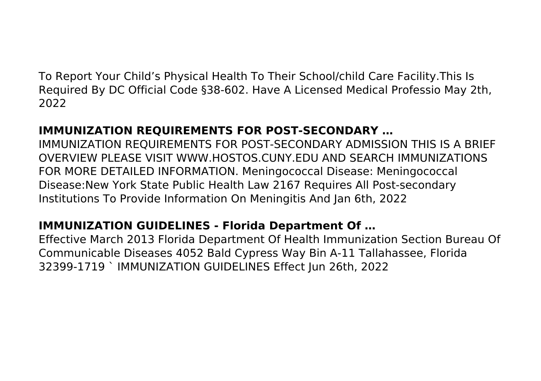To Report Your Child's Physical Health To Their School/child Care Facility.This Is Required By DC Official Code §38-602. Have A Licensed Medical Professio May 2th, 2022

# **IMMUNIZATION REQUIREMENTS FOR POST-SECONDARY …**

IMMUNIZATION REQUIREMENTS FOR POST-SECONDARY ADMISSION THIS IS A BRIEF OVERVIEW PLEASE VISIT WWW.HOSTOS.CUNY.EDU AND SEARCH IMMUNIZATIONS FOR MORE DETAILED INFORMATION. Meningococcal Disease: Meningococcal Disease:New York State Public Health Law 2167 Requires All Post-secondary Institutions To Provide Information On Meningitis And Jan 6th, 2022

# **IMMUNIZATION GUIDELINES - Florida Department Of …**

Effective March 2013 Florida Department Of Health Immunization Section Bureau Of Communicable Diseases 4052 Bald Cypress Way Bin A-11 Tallahassee, Florida 32399-1719 ` IMMUNIZATION GUIDELINES Effect Jun 26th, 2022